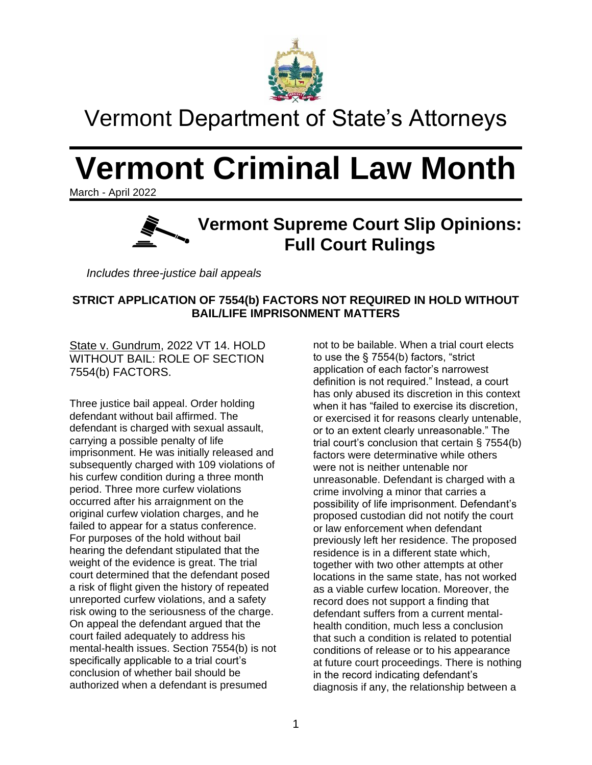

# Vermont Department of State's Attorneys

# **Vermont Criminal Law Month**

March - April 2022



*Includes three-justice bail appeals*

# **STRICT APPLICATION OF 7554(b) FACTORS NOT REQUIRED IN HOLD WITHOUT BAIL/LIFE IMPRISONMENT MATTERS**

State v. Gundrum, 2022 VT 14. HOLD WITHOUT BAIL: ROLE OF SECTION 7554(b) FACTORS.

Three justice bail appeal. Order holding defendant without bail affirmed. The defendant is charged with sexual assault, carrying a possible penalty of life imprisonment. He was initially released and subsequently charged with 109 violations of his curfew condition during a three month period. Three more curfew violations occurred after his arraignment on the original curfew violation charges, and he failed to appear for a status conference. For purposes of the hold without bail hearing the defendant stipulated that the weight of the evidence is great. The trial court determined that the defendant posed a risk of flight given the history of repeated unreported curfew violations, and a safety risk owing to the seriousness of the charge. On appeal the defendant argued that the court failed adequately to address his mental-health issues. Section 7554(b) is not specifically applicable to a trial court's conclusion of whether bail should be authorized when a defendant is presumed

not to be bailable. When a trial court elects to use the § 7554(b) factors, "strict application of each factor's narrowest definition is not required." Instead, a court has only abused its discretion in this context when it has "failed to exercise its discretion, or exercised it for reasons clearly untenable, or to an extent clearly unreasonable." The trial court's conclusion that certain § 7554(b) factors were determinative while others were not is neither untenable nor unreasonable. Defendant is charged with a crime involving a minor that carries a possibility of life imprisonment. Defendant's proposed custodian did not notify the court or law enforcement when defendant previously left her residence. The proposed residence is in a different state which, together with two other attempts at other locations in the same state, has not worked as a viable curfew location. Moreover, the record does not support a finding that defendant suffers from a current mentalhealth condition, much less a conclusion that such a condition is related to potential conditions of release or to his appearance at future court proceedings. There is nothing in the record indicating defendant's diagnosis if any, the relationship between a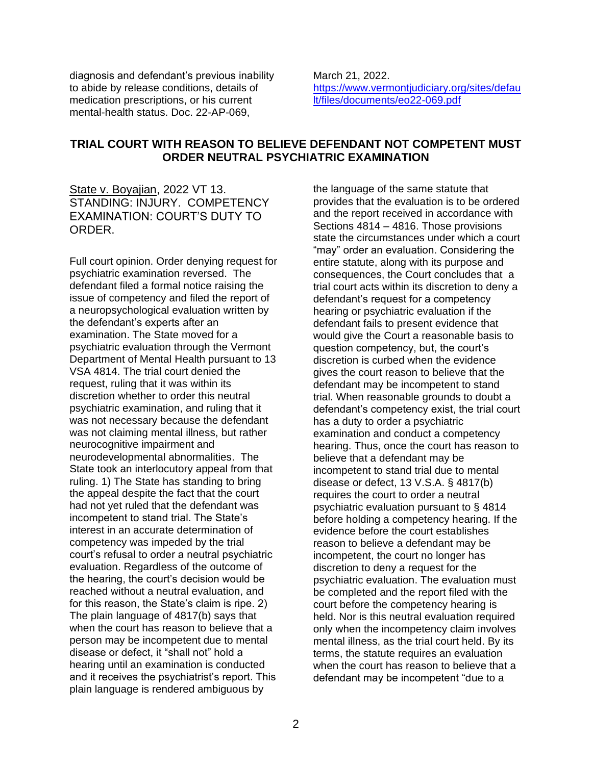diagnosis and defendant's previous inability to abide by release conditions, details of medication prescriptions, or his current mental-health status. Doc. 22-AP-069,

March 21, 2022. [https://www.vermontjudiciary.org/sites/defau](https://www.vermontjudiciary.org/sites/default/files/documents/eo22-069.pdf) [lt/files/documents/eo22-069.pdf](https://www.vermontjudiciary.org/sites/default/files/documents/eo22-069.pdf)

## **TRIAL COURT WITH REASON TO BELIEVE DEFENDANT NOT COMPETENT MUST ORDER NEUTRAL PSYCHIATRIC EXAMINATION**

State v. Boyajian, 2022 VT 13. STANDING: INJURY. COMPETENCY EXAMINATION: COURT'S DUTY TO ORDER.

Full court opinion. Order denying request for psychiatric examination reversed. The defendant filed a formal notice raising the issue of competency and filed the report of a neuropsychological evaluation written by the defendant's experts after an examination. The State moved for a psychiatric evaluation through the Vermont Department of Mental Health pursuant to 13 VSA 4814. The trial court denied the request, ruling that it was within its discretion whether to order this neutral psychiatric examination, and ruling that it was not necessary because the defendant was not claiming mental illness, but rather neurocognitive impairment and neurodevelopmental abnormalities. The State took an interlocutory appeal from that ruling. 1) The State has standing to bring the appeal despite the fact that the court had not yet ruled that the defendant was incompetent to stand trial. The State's interest in an accurate determination of competency was impeded by the trial court's refusal to order a neutral psychiatric evaluation. Regardless of the outcome of the hearing, the court's decision would be reached without a neutral evaluation, and for this reason, the State's claim is ripe. 2) The plain language of 4817(b) says that when the court has reason to believe that a person may be incompetent due to mental disease or defect, it "shall not" hold a hearing until an examination is conducted and it receives the psychiatrist's report. This plain language is rendered ambiguous by

the language of the same statute that provides that the evaluation is to be ordered and the report received in accordance with Sections 4814 – 4816. Those provisions state the circumstances under which a court "may" order an evaluation. Considering the entire statute, along with its purpose and consequences, the Court concludes that a trial court acts within its discretion to deny a defendant's request for a competency hearing or psychiatric evaluation if the defendant fails to present evidence that would give the Court a reasonable basis to question competency, but, the court's discretion is curbed when the evidence gives the court reason to believe that the defendant may be incompetent to stand trial. When reasonable grounds to doubt a defendant's competency exist, the trial court has a duty to order a psychiatric examination and conduct a competency hearing. Thus, once the court has reason to believe that a defendant may be incompetent to stand trial due to mental disease or defect, 13 V.S.A. § 4817(b) requires the court to order a neutral psychiatric evaluation pursuant to § 4814 before holding a competency hearing. If the evidence before the court establishes reason to believe a defendant may be incompetent, the court no longer has discretion to deny a request for the psychiatric evaluation. The evaluation must be completed and the report filed with the court before the competency hearing is held. Nor is this neutral evaluation required only when the incompetency claim involves mental illness, as the trial court held. By its terms, the statute requires an evaluation when the court has reason to believe that a defendant may be incompetent "due to a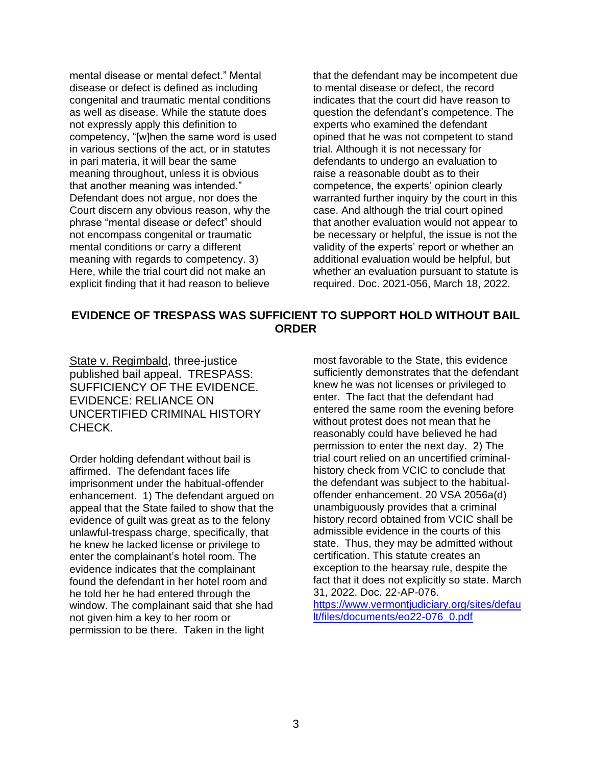mental disease or mental defect." Mental disease or defect is defined as including congenital and traumatic mental conditions as well as disease. While the statute does not expressly apply this definition to competency, "[w]hen the same word is used in various sections of the act, or in statutes in pari materia, it will bear the same meaning throughout, unless it is obvious that another meaning was intended." Defendant does not argue, nor does the Court discern any obvious reason, why the phrase "mental disease or defect" should not encompass congenital or traumatic mental conditions or carry a different meaning with regards to competency. 3) Here, while the trial court did not make an explicit finding that it had reason to believe

that the defendant may be incompetent due to mental disease or defect, the record indicates that the court did have reason to question the defendant's competence. The experts who examined the defendant opined that he was not competent to stand trial. Although it is not necessary for defendants to undergo an evaluation to raise a reasonable doubt as to their competence, the experts' opinion clearly warranted further inquiry by the court in this case. And although the trial court opined that another evaluation would not appear to be necessary or helpful, the issue is not the validity of the experts' report or whether an additional evaluation would be helpful, but whether an evaluation pursuant to statute is required. Doc. 2021-056, March 18, 2022.

## **EVIDENCE OF TRESPASS WAS SUFFICIENT TO SUPPORT HOLD WITHOUT BAIL ORDER**

State v. Regimbald, three-justice published bail appeal. TRESPASS: SUFFICIENCY OF THE EVIDENCE. EVIDENCE: RELIANCE ON UNCERTIFIED CRIMINAL HISTORY CHECK.

Order holding defendant without bail is affirmed. The defendant faces life imprisonment under the habitual-offender enhancement. 1) The defendant argued on appeal that the State failed to show that the evidence of guilt was great as to the felony unlawful-trespass charge, specifically, that he knew he lacked license or privilege to enter the complainant's hotel room. The evidence indicates that the complainant found the defendant in her hotel room and he told her he had entered through the window. The complainant said that she had not given him a key to her room or permission to be there. Taken in the light

most favorable to the State, this evidence sufficiently demonstrates that the defendant knew he was not licenses or privileged to enter. The fact that the defendant had entered the same room the evening before without protest does not mean that he reasonably could have believed he had permission to enter the next day. 2) The trial court relied on an uncertified criminalhistory check from VCIC to conclude that the defendant was subject to the habitualoffender enhancement. 20 VSA 2056a(d) unambiguously provides that a criminal history record obtained from VCIC shall be admissible evidence in the courts of this state. Thus, they may be admitted without certification. This statute creates an exception to the hearsay rule, despite the fact that it does not explicitly so state. March 31, 2022. Doc. 22-AP-076. [https://www.vermontjudiciary.org/sites/defau](https://www.vermontjudiciary.org/sites/default/files/documents/eo22-076_0.pdf) [lt/files/documents/eo22-076\\_0.pdf](https://www.vermontjudiciary.org/sites/default/files/documents/eo22-076_0.pdf)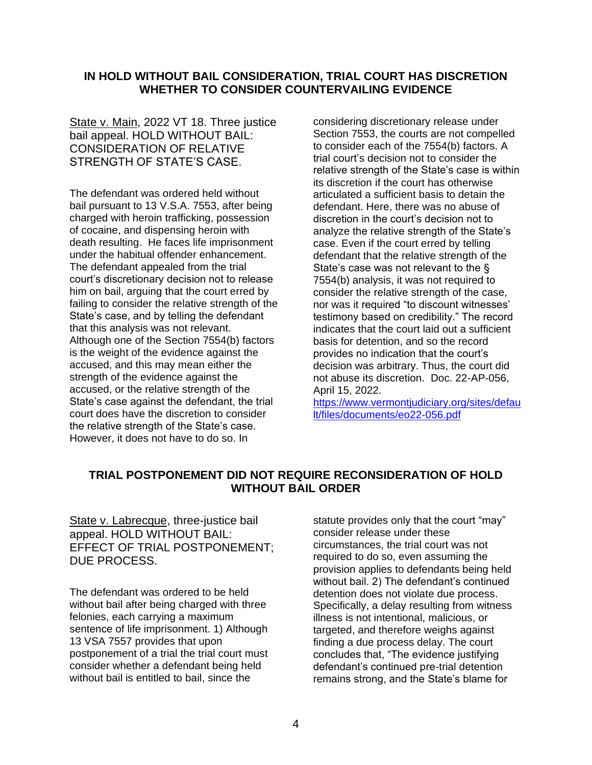# **IN HOLD WITHOUT BAIL CONSIDERATION, TRIAL COURT HAS DISCRETION WHETHER TO CONSIDER COUNTERVAILING EVIDENCE**

State v. Main, 2022 VT 18. Three justice bail appeal. HOLD WITHOUT BAIL: CONSIDERATION OF RELATIVE STRENGTH OF STATE'S CASE.

The defendant was ordered held without bail pursuant to 13 V.S.A. 7553, after being charged with heroin trafficking, possession of cocaine, and dispensing heroin with death resulting. He faces life imprisonment under the habitual offender enhancement. The defendant appealed from the trial court's discretionary decision not to release him on bail, arguing that the court erred by failing to consider the relative strength of the State's case, and by telling the defendant that this analysis was not relevant. Although one of the Section 7554(b) factors is the weight of the evidence against the accused, and this may mean either the strength of the evidence against the accused, or the relative strength of the State's case against the defendant, the trial court does have the discretion to consider the relative strength of the State's case. However, it does not have to do so. In

considering discretionary release under Section 7553, the courts are not compelled to consider each of the 7554(b) factors. A trial court's decision not to consider the relative strength of the State's case is within its discretion if the court has otherwise articulated a sufficient basis to detain the defendant. Here, there was no abuse of discretion in the court's decision not to analyze the relative strength of the State's case. Even if the court erred by telling defendant that the relative strength of the State's case was not relevant to the § 7554(b) analysis, it was not required to consider the relative strength of the case, nor was it required "to discount witnesses' testimony based on credibility." The record indicates that the court laid out a sufficient basis for detention, and so the record provides no indication that the court's decision was arbitrary. Thus, the court did not abuse its discretion. Doc. 22-AP-056, April 15, 2022.

[https://www.vermontjudiciary.org/sites/defau](https://www.vermontjudiciary.org/sites/default/files/documents/eo22-056.pdf) [lt/files/documents/eo22-056.pdf](https://www.vermontjudiciary.org/sites/default/files/documents/eo22-056.pdf)

# **TRIAL POSTPONEMENT DID NOT REQUIRE RECONSIDERATION OF HOLD WITHOUT BAIL ORDER**

State v. Labrecque, three-justice bail appeal. HOLD WITHOUT BAIL: EFFECT OF TRIAL POSTPONEMENT; DUE PROCESS.

The defendant was ordered to be held without bail after being charged with three felonies, each carrying a maximum sentence of life imprisonment. 1) Although 13 VSA 7557 provides that upon postponement of a trial the trial court must consider whether a defendant being held without bail is entitled to bail, since the

statute provides only that the court "may" consider release under these circumstances, the trial court was not required to do so, even assuming the provision applies to defendants being held without bail. 2) The defendant's continued detention does not violate due process. Specifically, a delay resulting from witness illness is not intentional, malicious, or targeted, and therefore weighs against finding a due process delay. The court concludes that, "The evidence justifying defendant's continued pre-trial detention remains strong, and the State's blame for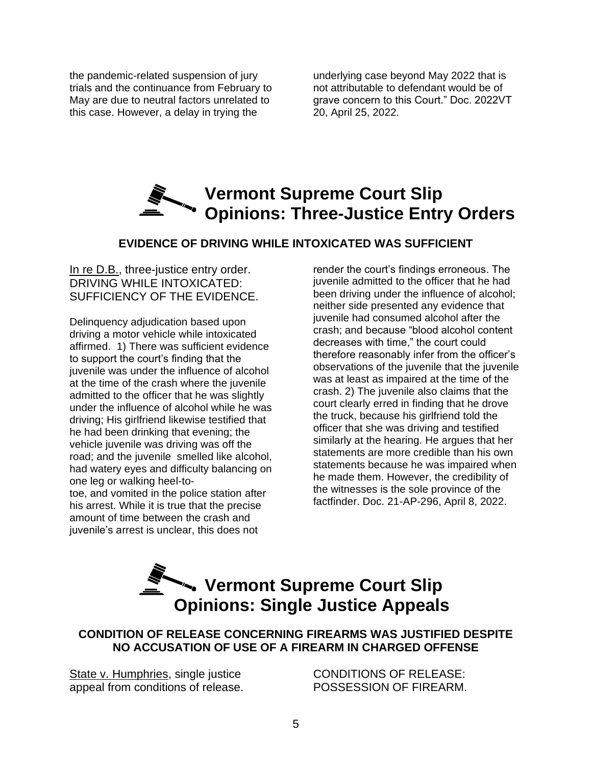the pandemic-related suspension of jury trials and the continuance from February to May are due to neutral factors unrelated to this case. However, a delay in trying the

underlying case beyond May 2022 that is not attributable to defendant would be of grave concern to this Court." Doc. 2022VT 20, April 25, 2022.

# **Vermont Supreme Court Slip Opinions: Three-Justice Entry Orders**

# **EVIDENCE OF DRIVING WHILE INTOXICATED WAS SUFFICIENT**

In re D.B., three-justice entry order. DRIVING WHILE INTOXICATED: SUFFICIENCY OF THE EVIDENCE.

Delinquency adjudication based upon driving a motor vehicle while intoxicated affirmed. 1) There was sufficient evidence to support the court's finding that the juvenile was under the influence of alcohol at the time of the crash where the juvenile admitted to the officer that he was slightly under the influence of alcohol while he was driving; His girlfriend likewise testified that he had been drinking that evening; the vehicle juvenile was driving was off the road; and the juvenile smelled like alcohol, had watery eyes and difficulty balancing on one leg or walking heel-to-

toe, and vomited in the police station after his arrest. While it is true that the precise amount of time between the crash and juvenile's arrest is unclear, this does not

render the court's findings erroneous. The juvenile admitted to the officer that he had been driving under the influence of alcohol; neither side presented any evidence that juvenile had consumed alcohol after the crash; and because "blood alcohol content decreases with time," the court could therefore reasonably infer from the officer's observations of the juvenile that the juvenile was at least as impaired at the time of the crash. 2) The juvenile also claims that the court clearly erred in finding that he drove the truck, because his girlfriend told the officer that she was driving and testified similarly at the hearing. He argues that her statements are more credible than his own statements because he was impaired when he made them. However, the credibility of the witnesses is the sole province of the factfinder. Doc. 21-AP-296, April 8, 2022.

# **Vermont Supreme Court Slip Opinions: Single Justice Appeals**

# **CONDITION OF RELEASE CONCERNING FIREARMS WAS JUSTIFIED DESPITE NO ACCUSATION OF USE OF A FIREARM IN CHARGED OFFENSE**

State v. Humphries, single justice appeal from conditions of release.

CONDITIONS OF RELEASE: POSSESSION OF FIREARM.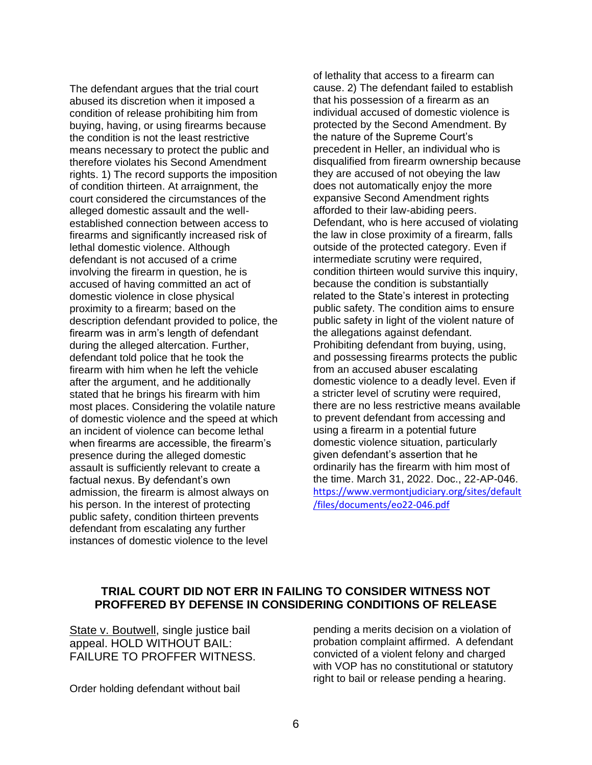The defendant argues that the trial court abused its discretion when it imposed a condition of release prohibiting him from buying, having, or using firearms because the condition is not the least restrictive means necessary to protect the public and therefore violates his Second Amendment rights. 1) The record supports the imposition of condition thirteen. At arraignment, the court considered the circumstances of the alleged domestic assault and the wellestablished connection between access to firearms and significantly increased risk of lethal domestic violence. Although defendant is not accused of a crime involving the firearm in question, he is accused of having committed an act of domestic violence in close physical proximity to a firearm; based on the description defendant provided to police, the firearm was in arm's length of defendant during the alleged altercation. Further, defendant told police that he took the firearm with him when he left the vehicle after the argument, and he additionally stated that he brings his firearm with him most places. Considering the volatile nature of domestic violence and the speed at which an incident of violence can become lethal when firearms are accessible, the firearm's presence during the alleged domestic assault is sufficiently relevant to create a factual nexus. By defendant's own admission, the firearm is almost always on his person. In the interest of protecting public safety, condition thirteen prevents defendant from escalating any further instances of domestic violence to the level

of lethality that access to a firearm can cause. 2) The defendant failed to establish that his possession of a firearm as an individual accused of domestic violence is protected by the Second Amendment. By the nature of the Supreme Court's precedent in Heller, an individual who is disqualified from firearm ownership because they are accused of not obeying the law does not automatically enjoy the more expansive Second Amendment rights afforded to their law-abiding peers. Defendant, who is here accused of violating the law in close proximity of a firearm, falls outside of the protected category. Even if intermediate scrutiny were required, condition thirteen would survive this inquiry, because the condition is substantially related to the State's interest in protecting public safety. The condition aims to ensure public safety in light of the violent nature of the allegations against defendant. Prohibiting defendant from buying, using, and possessing firearms protects the public from an accused abuser escalating domestic violence to a deadly level. Even if a stricter level of scrutiny were required, there are no less restrictive means available to prevent defendant from accessing and using a firearm in a potential future domestic violence situation, particularly given defendant's assertion that he ordinarily has the firearm with him most of the time. March 31, 2022. Doc., 22-AP-046. [https://www.vermontjudiciary.org/sites/default](https://www.vermontjudiciary.org/sites/default/files/documents/eo22-046.pdf) [/files/documents/eo22-046.pdf](https://www.vermontjudiciary.org/sites/default/files/documents/eo22-046.pdf)

## **TRIAL COURT DID NOT ERR IN FAILING TO CONSIDER WITNESS NOT PROFFERED BY DEFENSE IN CONSIDERING CONDITIONS OF RELEASE**

State v. Boutwell, single justice bail appeal. HOLD WITHOUT BAIL: FAILURE TO PROFFER WITNESS.

Order holding defendant without bail

pending a merits decision on a violation of probation complaint affirmed. A defendant convicted of a violent felony and charged with VOP has no constitutional or statutory right to bail or release pending a hearing.